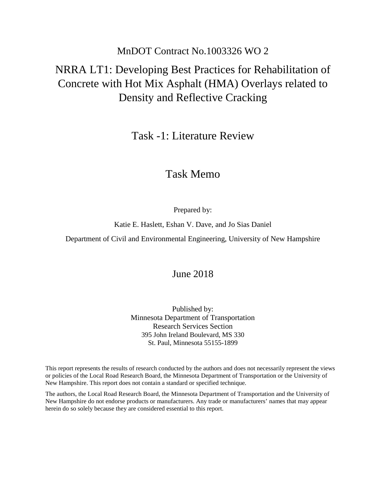## MnDOT Contract No.1003326 WO 2

# NRRA LT1: Developing Best Practices for Rehabilitation of Concrete with Hot Mix Asphalt (HMA) Overlays related to Density and Reflective Cracking

Task -1: Literature Review

## Task Memo

Prepared by:

Katie E. Haslett, Eshan V. Dave, and Jo Sias Daniel

Department of Civil and Environmental Engineering, University of New Hampshire

### June 2018

Published by: Minnesota Department of Transportation Research Services Section 395 John Ireland Boulevard, MS 330 St. Paul, Minnesota 55155-1899

This report represents the results of research conducted by the authors and does not necessarily represent the views or policies of the Local Road Research Board, the Minnesota Department of Transportation or the University of New Hampshire. This report does not contain a standard or specified technique.

The authors, the Local Road Research Board, the Minnesota Department of Transportation and the University of New Hampshire do not endorse products or manufacturers. Any trade or manufacturers' names that may appear herein do so solely because they are considered essential to this report.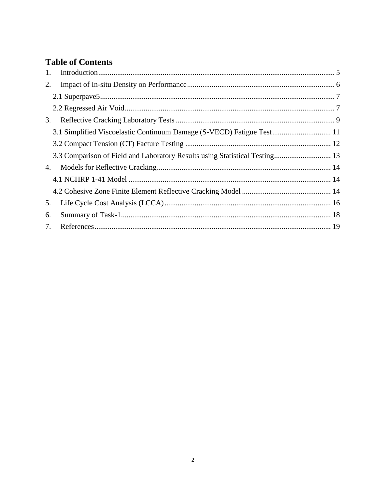## **Table of Contents**

| 1. |                                                                       |  |
|----|-----------------------------------------------------------------------|--|
| 2. |                                                                       |  |
|    |                                                                       |  |
|    |                                                                       |  |
| 3. |                                                                       |  |
|    | 3.1 Simplified Viscoelastic Continuum Damage (S-VECD) Fatigue Test 11 |  |
|    |                                                                       |  |
|    |                                                                       |  |
| 4. |                                                                       |  |
|    |                                                                       |  |
|    |                                                                       |  |
| 5. |                                                                       |  |
| 6. |                                                                       |  |
| 7. |                                                                       |  |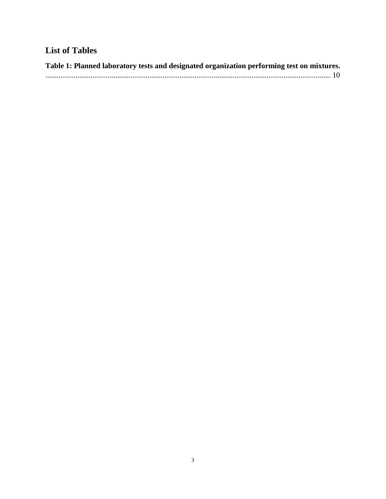# **List of Tables**

| Table 1: Planned laboratory tests and designated organization performing test on mixtures.                                                                                                                                                                                                                                                                                                                                                                                                        |  |
|---------------------------------------------------------------------------------------------------------------------------------------------------------------------------------------------------------------------------------------------------------------------------------------------------------------------------------------------------------------------------------------------------------------------------------------------------------------------------------------------------|--|
| $\begin{minipage}{0.9\linewidth} \begin{tabular}{l} \hline \multicolumn{3}{l}{} & \multicolumn{3}{l}{} & \multicolumn{3}{l}{} \\ \hline \multicolumn{3}{l}{} & \multicolumn{3}{l}{} & \multicolumn{3}{l}{} \\ \hline \multicolumn{3}{l}{} & \multicolumn{3}{l}{} & \multicolumn{3}{l}{} \\ \hline \multicolumn{3}{l}{} & \multicolumn{3}{l}{} & \multicolumn{3}{l}{} \\ \hline \multicolumn{3}{l}{} & \multicolumn{3}{l}{} & \multicolumn{3}{l}{} \\ \hline \multicolumn{3}{l}{} & \multicolumn{$ |  |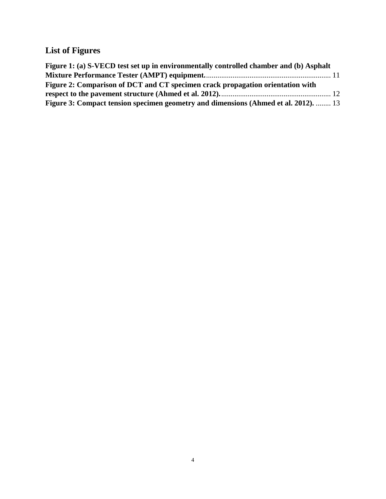# **List of Figures**

| Figure 1: (a) S-VECD test set up in environmentally controlled chamber and (b) Asphalt    |  |
|-------------------------------------------------------------------------------------------|--|
|                                                                                           |  |
| Figure 2: Comparison of DCT and CT specimen crack propagation orientation with            |  |
|                                                                                           |  |
| <b>Figure 3: Compact tension specimen geometry and dimensions (Ahmed et al. 2012).</b> 13 |  |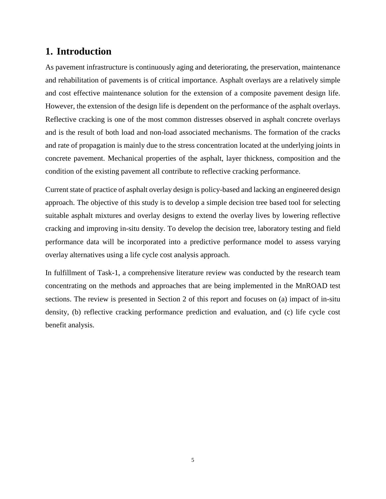## <span id="page-4-0"></span>**1. Introduction**

As pavement infrastructure is continuously aging and deteriorating, the preservation, maintenance and rehabilitation of pavements is of critical importance. Asphalt overlays are a relatively simple and cost effective maintenance solution for the extension of a composite pavement design life. However, the extension of the design life is dependent on the performance of the asphalt overlays. Reflective cracking is one of the most common distresses observed in asphalt concrete overlays and is the result of both load and non-load associated mechanisms. The formation of the cracks and rate of propagation is mainly due to the stress concentration located at the underlying joints in concrete pavement. Mechanical properties of the asphalt, layer thickness, composition and the condition of the existing pavement all contribute to reflective cracking performance.

Current state of practice of asphalt overlay design is policy-based and lacking an engineered design approach. The objective of this study is to develop a simple decision tree based tool for selecting suitable asphalt mixtures and overlay designs to extend the overlay lives by lowering reflective cracking and improving in-situ density. To develop the decision tree, laboratory testing and field performance data will be incorporated into a predictive performance model to assess varying overlay alternatives using a life cycle cost analysis approach.

In fulfillment of Task-1, a comprehensive literature review was conducted by the research team concentrating on the methods and approaches that are being implemented in the MnROAD test sections. The review is presented in Section 2 of this report and focuses on (a) impact of in-situ density, (b) reflective cracking performance prediction and evaluation, and (c) life cycle cost benefit analysis.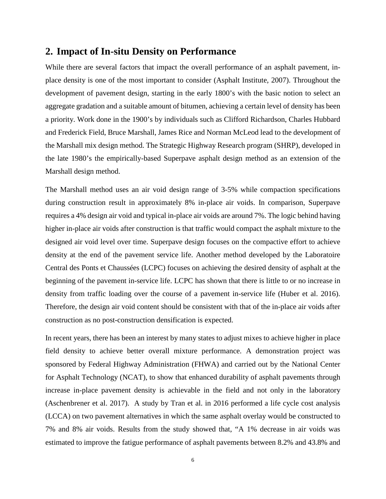#### <span id="page-5-0"></span>**2. Impact of In-situ Density on Performance**

While there are several factors that impact the overall performance of an asphalt pavement, inplace density is one of the most important to consider (Asphalt Institute, 2007). Throughout the development of pavement design, starting in the early 1800's with the basic notion to select an aggregate gradation and a suitable amount of bitumen, achieving a certain level of density has been a priority. Work done in the 1900's by individuals such as Clifford Richardson, Charles Hubbard and Frederick Field, Bruce Marshall, James Rice and Norman McLeod lead to the development of the Marshall mix design method. The Strategic Highway Research program (SHRP), developed in the late 1980's the empirically-based Superpave asphalt design method as an extension of the Marshall design method.

The Marshall method uses an air void design range of 3-5% while compaction specifications during construction result in approximately 8% in-place air voids. In comparison, Superpave requires a 4% design air void and typical in-place air voids are around 7%. The logic behind having higher in-place air voids after construction is that traffic would compact the asphalt mixture to the designed air void level over time. Superpave design focuses on the compactive effort to achieve density at the end of the pavement service life. Another method developed by the Laboratoire Central des Ponts et Chaussées (LCPC) focuses on achieving the desired density of asphalt at the beginning of the pavement in-service life. LCPC has shown that there is little to or no increase in density from traffic loading over the course of a pavement in-service life (Huber et al. 2016). Therefore, the design air void content should be consistent with that of the in-place air voids after construction as no post-construction densification is expected.

In recent years, there has been an interest by many states to adjust mixes to achieve higher in place field density to achieve better overall mixture performance. A demonstration project was sponsored by Federal Highway Administration (FHWA) and carried out by the National Center for Asphalt Technology (NCAT), to show that enhanced durability of asphalt pavements through increase in-place pavement density is achievable in the field and not only in the laboratory (Aschenbrener et al. 2017). A study by Tran et al. in 2016 performed a life cycle cost analysis (LCCA) on two pavement alternatives in which the same asphalt overlay would be constructed to 7% and 8% air voids. Results from the study showed that, "A 1% decrease in air voids was estimated to improve the fatigue performance of asphalt pavements between 8.2% and 43.8% and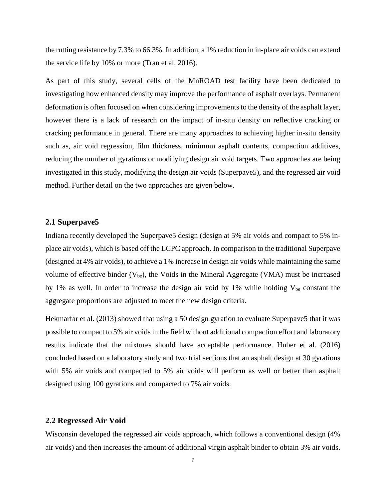the rutting resistance by 7.3% to 66.3%. In addition, a 1% reduction in in-place air voids can extend the service life by 10% or more (Tran et al. 2016).

As part of this study, several cells of the MnROAD test facility have been dedicated to investigating how enhanced density may improve the performance of asphalt overlays. Permanent deformation is often focused on when considering improvements to the density of the asphalt layer, however there is a lack of research on the impact of in-situ density on reflective cracking or cracking performance in general. There are many approaches to achieving higher in-situ density such as, air void regression, film thickness, minimum asphalt contents, compaction additives, reducing the number of gyrations or modifying design air void targets. Two approaches are being investigated in this study, modifying the design air voids (Superpave5), and the regressed air void method. Further detail on the two approaches are given below.

#### <span id="page-6-0"></span>**2.1 Superpave5**

Indiana recently developed the Superpave5 design (design at 5% air voids and compact to 5% inplace air voids), which is based off the LCPC approach. In comparison to the traditional Superpave (designed at 4% air voids), to achieve a 1% increase in design air voids while maintaining the same volume of effective binder  $(V_{be})$ , the Voids in the Mineral Aggregate (VMA) must be increased by 1% as well. In order to increase the design air void by 1% while holding  $V_{be}$  constant the aggregate proportions are adjusted to meet the new design criteria.

Hekmarfar et al. (2013) showed that using a 50 design gyration to evaluate Superpave5 that it was possible to compact to 5% air voids in the field without additional compaction effort and laboratory results indicate that the mixtures should have acceptable performance. Huber et al. (2016) concluded based on a laboratory study and two trial sections that an asphalt design at 30 gyrations with 5% air voids and compacted to 5% air voids will perform as well or better than asphalt designed using 100 gyrations and compacted to 7% air voids.

#### <span id="page-6-1"></span>**2.2 Regressed Air Void**

Wisconsin developed the regressed air voids approach, which follows a conventional design (4% air voids) and then increases the amount of additional virgin asphalt binder to obtain 3% air voids.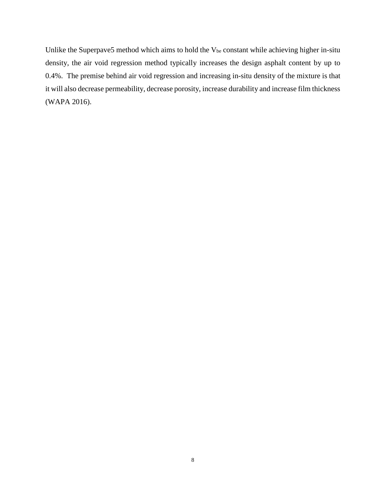Unlike the Superpave5 method which aims to hold the V<sub>be</sub> constant while achieving higher in-situ density, the air void regression method typically increases the design asphalt content by up to 0.4%. The premise behind air void regression and increasing in-situ density of the mixture is that it will also decrease permeability, decrease porosity, increase durability and increase film thickness (WAPA 2016).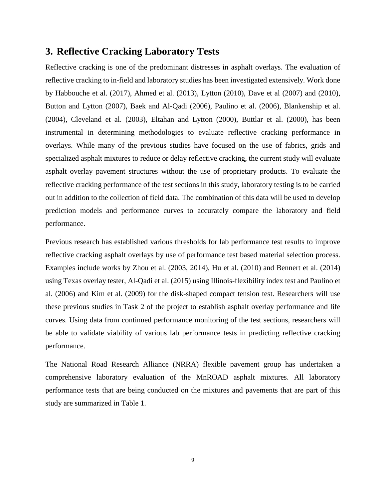#### <span id="page-8-0"></span>**3. Reflective Cracking Laboratory Tests**

Reflective cracking is one of the predominant distresses in asphalt overlays. The evaluation of reflective cracking to in-field and laboratory studies has been investigated extensively. Work done by Habbouche et al. (2017), Ahmed et al. (2013), Lytton (2010), Dave et al (2007) and (2010), Button and Lytton (2007), Baek and Al-Qadi (2006), Paulino et al. (2006), Blankenship et al. (2004), Cleveland et al. (2003), Eltahan and Lytton (2000), Buttlar et al. (2000), has been instrumental in determining methodologies to evaluate reflective cracking performance in overlays. While many of the previous studies have focused on the use of fabrics, grids and specialized asphalt mixtures to reduce or delay reflective cracking, the current study will evaluate asphalt overlay pavement structures without the use of proprietary products. To evaluate the reflective cracking performance of the test sections in this study, laboratory testing is to be carried out in addition to the collection of field data. The combination of this data will be used to develop prediction models and performance curves to accurately compare the laboratory and field performance.

Previous research has established various thresholds for lab performance test results to improve reflective cracking asphalt overlays by use of performance test based material selection process. Examples include works by Zhou et al. (2003, 2014), Hu et al. (2010) and Bennert et al. (2014) using Texas overlay tester, Al-Qadi et al. (2015) using Illinois-flexibility index test and Paulino et al. (2006) and Kim et al. (2009) for the disk-shaped compact tension test. Researchers will use these previous studies in Task 2 of the project to establish asphalt overlay performance and life curves. Using data from continued performance monitoring of the test sections, researchers will be able to validate viability of various lab performance tests in predicting reflective cracking performance.

The National Road Research Alliance (NRRA) flexible pavement group has undertaken a comprehensive laboratory evaluation of the MnROAD asphalt mixtures. All laboratory performance tests that are being conducted on the mixtures and pavements that are part of this study are summarized in Table 1.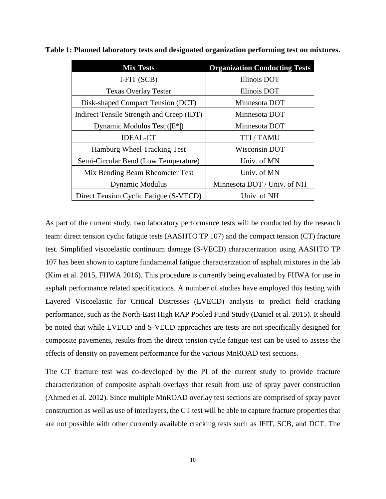| <b>Mix Tests</b>                          | <b>Organization Conducting Tests</b> |
|-------------------------------------------|--------------------------------------|
| I-FIT (SCB)                               | Illinois DOT                         |
| <b>Texas Overlay Tester</b>               | Illinois DOT                         |
| Disk-shaped Compact Tension (DCT)         | Minnesota DOT                        |
| Indirect Tensile Strength and Creep (IDT) | Minnesota DOT                        |
| Dynamic Modulus Test $( E^* )$            | Minnesota DOT                        |
| <b>IDEAL-CT</b>                           | TTI / TAMU                           |
| Hamburg Wheel Tracking Test               | Wisconsin DOT                        |
| Semi-Circular Bend (Low Temperature)      | Univ. of MN                          |
| Mix Bending Beam Rheometer Test           | Univ. of MN                          |
| <b>Dynamic Modulus</b>                    | Minnesota DOT / Univ. of NH          |
| Direct Tension Cyclic Fatigue (S-VECD)    | Univ. of NH                          |

<span id="page-9-0"></span>**Table 1: Planned laboratory tests and designated organization performing test on mixtures.**

As part of the current study, two laboratory performance tests will be conducted by the research team: direct tension cyclic fatigue tests (AASHTO TP 107) and the compact tension (CT) fracture test. Simplified viscoelastic continuum damage (S-VECD) characterization using AASHTO TP 107 has been shown to capture fundamental fatigue characterization of asphalt mixtures in the lab (Kim et al. 2015, FHWA 2016). This procedure is currently being evaluated by FHWA for use in asphalt performance related specifications. A number of studies have employed this testing with Layered Viscoelastic for Critical Distresses (LVECD) analysis to predict field cracking performance, such as the North-East High RAP Pooled Fund Study (Daniel et al. 2015). It should be noted that while LVECD and S-VECD approaches are tests are not specifically designed for composite pavements, results from the direct tension cycle fatigue test can be used to assess the effects of density on pavement performance for the various MnROAD test sections.

The CT fracture test was co-developed by the PI of the current study to provide fracture characterization of composite asphalt overlays that result from use of spray paver construction (Ahmed et al. 2012). Since multiple MnROAD overlay test sections are comprised of spray paver construction as well as use of interlayers, the CT test will be able to capture fracture properties that are not possible with other currently available cracking tests such as IFIT, SCB, and DCT. The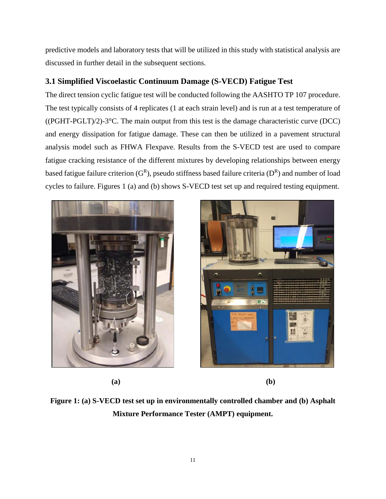predictive models and laboratory tests that will be utilized in this study with statistical analysis are discussed in further detail in the subsequent sections.

#### <span id="page-10-0"></span>**3.1 Simplified Viscoelastic Continuum Damage (S-VECD) Fatigue Test**

The direct tension cyclic fatigue test will be conducted following the AASHTO TP 107 procedure. The test typically consists of 4 replicates (1 at each strain level) and is run at a test temperature of ((PGHT-PGLT)/2)-3°C. The main output from this test is the damage characteristic curve (DCC) and energy dissipation for fatigue damage. These can then be utilized in a pavement structural analysis model such as FHWA Flexpave. Results from the S-VECD test are used to compare fatigue cracking resistance of the different mixtures by developing relationships between energy based fatigue failure criterion  $(G^R)$ , pseudo stiffness based failure criteria  $(D^R)$  and number of load cycles to failure. Figures 1 (a) and (b) shows S-VECD test set up and required testing equipment.



 **(a) (b)**



<span id="page-10-1"></span>**Figure 1: (a) S-VECD test set up in environmentally controlled chamber and (b) Asphalt Mixture Performance Tester (AMPT) equipment.**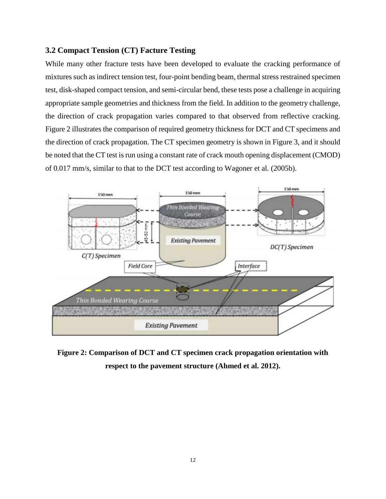#### <span id="page-11-0"></span>**3.2 Compact Tension (CT) Facture Testing**

While many other fracture tests have been developed to evaluate the cracking performance of mixtures such as indirect tension test, four-point bending beam, thermal stress restrained specimen test, disk-shaped compact tension, and semi-circular bend, these tests pose a challenge in acquiring appropriate sample geometries and thickness from the field. In addition to the geometry challenge, the direction of crack propagation varies compared to that observed from reflective cracking. Figure 2 illustrates the comparison of required geometry thickness for DCT and CT specimens and the direction of crack propagation. The CT specimen geometry is shown in Figure 3, and it should be noted that the CT test is run using a constant rate of crack mouth opening displacement (CMOD) of 0.017 mm/s, similar to that to the DCT test according to Wagoner et al. (2005b).



<span id="page-11-1"></span>**Figure 2: Comparison of DCT and CT specimen crack propagation orientation with respect to the pavement structure (Ahmed et al. 2012).**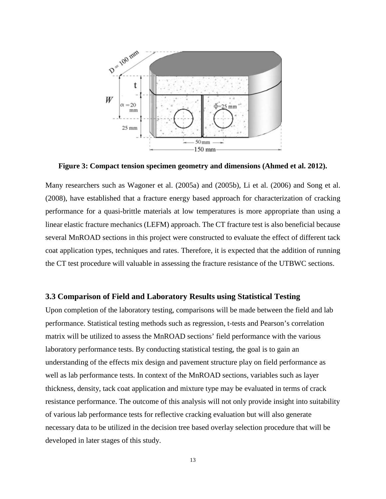

<span id="page-12-1"></span>**Figure 3: Compact tension specimen geometry and dimensions (Ahmed et al. 2012).**

Many researchers such as Wagoner et al. (2005a) and (2005b), Li et al. (2006) and Song et al. (2008), have established that a fracture energy based approach for characterization of cracking performance for a quasi-brittle materials at low temperatures is more appropriate than using a linear elastic fracture mechanics (LEFM) approach. The CT fracture test is also beneficial because several MnROAD sections in this project were constructed to evaluate the effect of different tack coat application types, techniques and rates. Therefore, it is expected that the addition of running the CT test procedure will valuable in assessing the fracture resistance of the UTBWC sections.

#### <span id="page-12-0"></span>**3.3 Comparison of Field and Laboratory Results using Statistical Testing**

Upon completion of the laboratory testing, comparisons will be made between the field and lab performance. Statistical testing methods such as regression, t-tests and Pearson's correlation matrix will be utilized to assess the MnROAD sections' field performance with the various laboratory performance tests. By conducting statistical testing, the goal is to gain an understanding of the effects mix design and pavement structure play on field performance as well as lab performance tests. In context of the MnROAD sections, variables such as layer thickness, density, tack coat application and mixture type may be evaluated in terms of crack resistance performance. The outcome of this analysis will not only provide insight into suitability of various lab performance tests for reflective cracking evaluation but will also generate necessary data to be utilized in the decision tree based overlay selection procedure that will be developed in later stages of this study.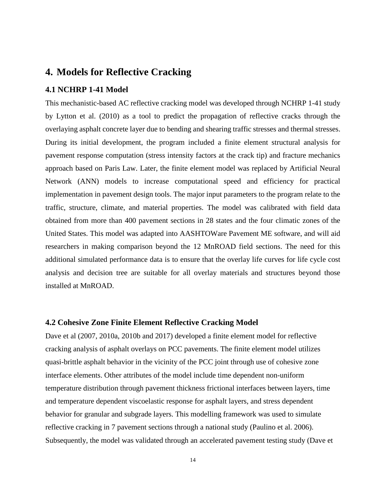## <span id="page-13-0"></span>**4. Models for Reflective Cracking**

#### <span id="page-13-1"></span>**4.1 NCHRP 1-41 Model**

This mechanistic-based AC reflective cracking model was developed through NCHRP 1-41 study by Lytton et al. (2010) as a tool to predict the propagation of reflective cracks through the overlaying asphalt concrete layer due to bending and shearing traffic stresses and thermal stresses. During its initial development, the program included a finite element structural analysis for pavement response computation (stress intensity factors at the crack tip) and fracture mechanics approach based on Paris Law. Later, the finite element model was replaced by Artificial Neural Network (ANN) models to increase computational speed and efficiency for practical implementation in pavement design tools. The major input parameters to the program relate to the traffic, structure, climate, and material properties. The model was calibrated with field data obtained from more than 400 pavement sections in 28 states and the four climatic zones of the United States. This model was adapted into AASHTOWare Pavement ME software, and will aid researchers in making comparison beyond the 12 MnROAD field sections. The need for this additional simulated performance data is to ensure that the overlay life curves for life cycle cost analysis and decision tree are suitable for all overlay materials and structures beyond those installed at MnROAD.

#### <span id="page-13-2"></span>**4.2 Cohesive Zone Finite Element Reflective Cracking Model**

Dave et al (2007, 2010a, 2010b and 2017) developed a finite element model for reflective cracking analysis of asphalt overlays on PCC pavements. The finite element model utilizes quasi-brittle asphalt behavior in the vicinity of the PCC joint through use of cohesive zone interface elements. Other attributes of the model include time dependent non-uniform temperature distribution through pavement thickness frictional interfaces between layers, time and temperature dependent viscoelastic response for asphalt layers, and stress dependent behavior for granular and subgrade layers. This modelling framework was used to simulate reflective cracking in 7 pavement sections through a national study (Paulino et al. 2006). Subsequently, the model was validated through an accelerated pavement testing study (Dave et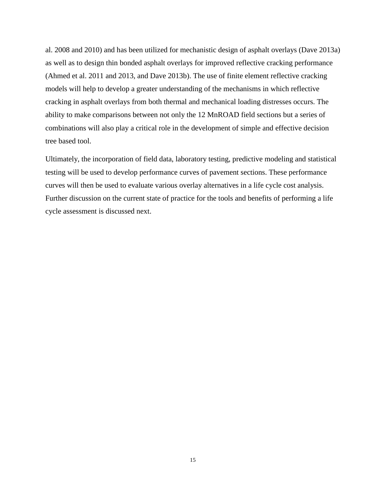al. 2008 and 2010) and has been utilized for mechanistic design of asphalt overlays (Dave 2013a) as well as to design thin bonded asphalt overlays for improved reflective cracking performance (Ahmed et al. 2011 and 2013, and Dave 2013b). The use of finite element reflective cracking models will help to develop a greater understanding of the mechanisms in which reflective cracking in asphalt overlays from both thermal and mechanical loading distresses occurs. The ability to make comparisons between not only the 12 MnROAD field sections but a series of combinations will also play a critical role in the development of simple and effective decision tree based tool.

Ultimately, the incorporation of field data, laboratory testing, predictive modeling and statistical testing will be used to develop performance curves of pavement sections. These performance curves will then be used to evaluate various overlay alternatives in a life cycle cost analysis. Further discussion on the current state of practice for the tools and benefits of performing a life cycle assessment is discussed next.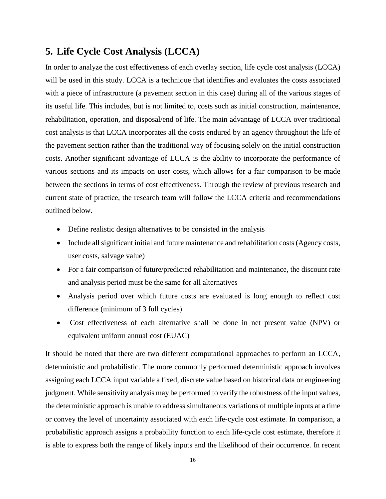## <span id="page-15-0"></span>**5. Life Cycle Cost Analysis (LCCA)**

In order to analyze the cost effectiveness of each overlay section, life cycle cost analysis (LCCA) will be used in this study. LCCA is a technique that identifies and evaluates the costs associated with a piece of infrastructure (a pavement section in this case) during all of the various stages of its useful life. This includes, but is not limited to, costs such as initial construction, maintenance, rehabilitation, operation, and disposal/end of life. The main advantage of LCCA over traditional cost analysis is that LCCA incorporates all the costs endured by an agency throughout the life of the pavement section rather than the traditional way of focusing solely on the initial construction costs. Another significant advantage of LCCA is the ability to incorporate the performance of various sections and its impacts on user costs, which allows for a fair comparison to be made between the sections in terms of cost effectiveness. Through the review of previous research and current state of practice, the research team will follow the LCCA criteria and recommendations outlined below.

- Define realistic design alternatives to be consisted in the analysis
- Include all significant initial and future maintenance and rehabilitation costs (Agency costs, user costs, salvage value)
- For a fair comparison of future/predicted rehabilitation and maintenance, the discount rate and analysis period must be the same for all alternatives
- Analysis period over which future costs are evaluated is long enough to reflect cost difference (minimum of 3 full cycles)
- Cost effectiveness of each alternative shall be done in net present value (NPV) or equivalent uniform annual cost (EUAC)

It should be noted that there are two different computational approaches to perform an LCCA, deterministic and probabilistic. The more commonly performed deterministic approach involves assigning each LCCA input variable a fixed, discrete value based on historical data or engineering judgment. While sensitivity analysis may be performed to verify the robustness of the input values, the deterministic approach is unable to address simultaneous variations of multiple inputs at a time or convey the level of uncertainty associated with each life-cycle cost estimate. In comparison, a probabilistic approach assigns a probability function to each life-cycle cost estimate, therefore it is able to express both the range of likely inputs and the likelihood of their occurrence. In recent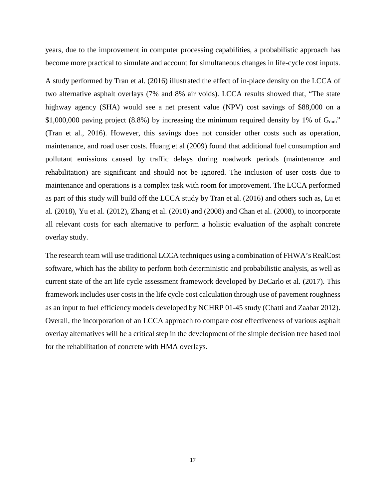years, due to the improvement in computer processing capabilities, a probabilistic approach has become more practical to simulate and account for simultaneous changes in life-cycle cost inputs.

A study performed by Tran et al. (2016) illustrated the effect of in-place density on the LCCA of two alternative asphalt overlays (7% and 8% air voids). LCCA results showed that, "The state highway agency (SHA) would see a net present value (NPV) cost savings of \$88,000 on a \$1,000,000 paving project (8.8%) by increasing the minimum required density by 1% of  $G<sub>mm</sub>$ " (Tran et al., 2016). However, this savings does not consider other costs such as operation, maintenance, and road user costs. Huang et al (2009) found that additional fuel consumption and pollutant emissions caused by traffic delays during roadwork periods (maintenance and rehabilitation) are significant and should not be ignored. The inclusion of user costs due to maintenance and operations is a complex task with room for improvement. The LCCA performed as part of this study will build off the LCCA study by Tran et al. (2016) and others such as, Lu et al. (2018), Yu et al. (2012), Zhang et al. (2010) and (2008) and Chan et al. (2008), to incorporate all relevant costs for each alternative to perform a holistic evaluation of the asphalt concrete overlay study.

The research team will use traditional LCCA techniques using a combination of FHWA's RealCost software, which has the ability to perform both deterministic and probabilistic analysis, as well as current state of the art life cycle assessment framework developed by DeCarlo et al. (2017). This framework includes user costs in the life cycle cost calculation through use of pavement roughness as an input to fuel efficiency models developed by NCHRP 01-45 study (Chatti and Zaabar 2012). Overall, the incorporation of an LCCA approach to compare cost effectiveness of various asphalt overlay alternatives will be a critical step in the development of the simple decision tree based tool for the rehabilitation of concrete with HMA overlays.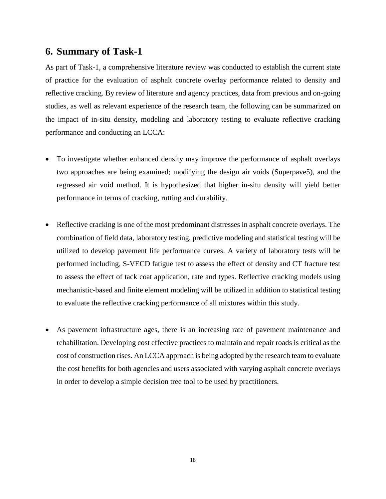### <span id="page-17-0"></span>**6. Summary of Task-1**

As part of Task-1, a comprehensive literature review was conducted to establish the current state of practice for the evaluation of asphalt concrete overlay performance related to density and reflective cracking. By review of literature and agency practices, data from previous and on-going studies, as well as relevant experience of the research team, the following can be summarized on the impact of in-situ density, modeling and laboratory testing to evaluate reflective cracking performance and conducting an LCCA:

- To investigate whether enhanced density may improve the performance of asphalt overlays two approaches are being examined; modifying the design air voids (Superpave5), and the regressed air void method. It is hypothesized that higher in-situ density will yield better performance in terms of cracking, rutting and durability.
- Reflective cracking is one of the most predominant distresses in asphalt concrete overlays. The combination of field data, laboratory testing, predictive modeling and statistical testing will be utilized to develop pavement life performance curves. A variety of laboratory tests will be performed including, S-VECD fatigue test to assess the effect of density and CT fracture test to assess the effect of tack coat application, rate and types. Reflective cracking models using mechanistic-based and finite element modeling will be utilized in addition to statistical testing to evaluate the reflective cracking performance of all mixtures within this study.
- As pavement infrastructure ages, there is an increasing rate of pavement maintenance and rehabilitation. Developing cost effective practices to maintain and repair roads is critical as the cost of construction rises. An LCCA approach is being adopted by the research team to evaluate the cost benefits for both agencies and users associated with varying asphalt concrete overlays in order to develop a simple decision tree tool to be used by practitioners.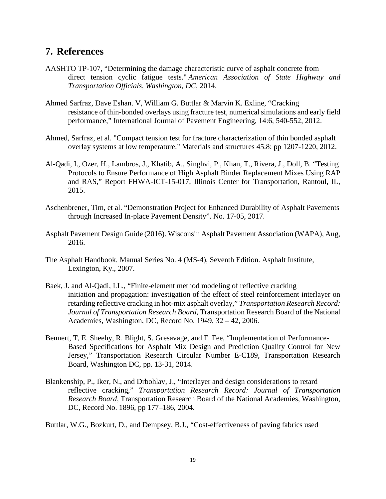## <span id="page-18-0"></span>**7. References**

- AASHTO TP-107, "Determining the damage characteristic curve of asphalt concrete from direct tension cyclic fatigue tests." *American Association of State Highway and Transportation Officials, Washington, DC*, 2014.
- Ahmed Sarfraz, Dave Eshan. V, William G. Buttlar & Marvin K. Exline, "Cracking resistance of thin-bonded overlays using fracture test, numerical simulations and early field performance," International Journal of Pavement Engineering, 14:6, 540-552, 2012.
- Ahmed, Sarfraz, et al. "Compact tension test for fracture characterization of thin bonded asphalt overlay systems at low temperature." Materials and structures 45.8: pp 1207-1220, 2012.
- Al-Qadi, I., Ozer, H., Lambros, J., Khatib, A., Singhvi, P., Khan, T., Rivera, J., Doll, B. "Testing Protocols to Ensure Performance of High Asphalt Binder Replacement Mixes Using RAP and RAS," Report FHWA-ICT-15-017, Illinois Center for Transportation, Rantoul, IL, 2015.
- Aschenbrener, Tim, et al. "Demonstration Project for Enhanced Durability of Asphalt Pavements through Increased In-place Pavement Density". No. 17-05, 2017.
- Asphalt Pavement Design Guide (2016). Wisconsin Asphalt Pavement Association (WAPA), Aug, 2016.
- The Asphalt Handbook. Manual Series No. 4 (MS-4), Seventh Edition. Asphalt Institute, Lexington, Ky., 2007.
- Baek, J. and Al-Qadi, I.L., "Finite-element method modeling of reflective cracking initiation and propagation: investigation of the effect of steel reinforcement interlayer on retarding reflective cracking in hot-mix asphalt overlay," *Transportation Research Record: Journal of Transportation Research Board,* Transportation Research Board of the National Academies, Washington, DC, Record No. 1949, 32 – 42, 2006.
- Bennert, T, E. Sheehy, R. Blight, S. Gresavage, and F. Fee, "Implementation of Performance-Based Specifications for Asphalt Mix Design and Prediction Quality Control for New Jersey," Transportation Research Circular Number E-C189, Transportation Research Board, Washington DC, pp. 13-31, 2014.
- Blankenship, P., Iker, N., and Drbohlav, J., "Interlayer and design considerations to retard reflective cracking," *Transportation Research Record: Journal of Transportation Research Board,* Transportation Research Board of the National Academies, Washington, DC, Record No. 1896, pp 177–186, 2004.
- Buttlar, W.G., Bozkurt, D., and Dempsey, B.J., "Cost-effectiveness of paving fabrics used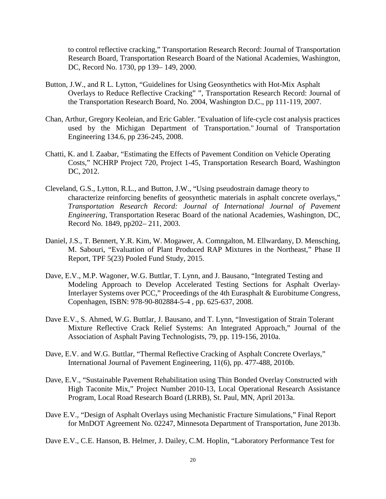to control reflective cracking," Transportation Research Record: Journal of Transportation Research Board, Transportation Research Board of the National Academies, Washington, DC, Record No. 1730, pp 139– 149, 2000.

- Button, J.W., and R L. Lytton, "Guidelines for Using Geosynthetics with Hot-Mix Asphalt Overlays to Reduce Reflective Cracking" ", Transportation Research Record: Journal of the Transportation Research Board, No. 2004, Washington D.C., pp 111-119, 2007.
- Chan, Arthur, Gregory Keoleian, and Eric Gabler. "Evaluation of life-cycle cost analysis practices used by the Michigan Department of Transportation." Journal of Transportation Engineering 134.6, pp 236-245, 2008.
- Chatti, K. and I. Zaabar, "Estimating the Effects of Pavement Condition on Vehicle Operating Costs," NCHRP Project 720, Project 1-45, Transportation Research Board, Washington DC, 2012.
- Cleveland, G.S., Lytton, R.L., and Button, J.W., "Using pseudostrain damage theory to characterize reinforcing benefits of geosynthetic materials in asphalt concrete overlays," *Transportation Research Record: Journal of International Journal of Pavement Engineering*, Transportation Reserac Board of the national Academies, Washington, DC, Record No. 1849, pp202– 211, 2003.
- Daniel, J.S., T. Bennert, Y.R. Kim, W. Mogawer, A. Comngalton, M. Ellwardany, D. Mensching, M. Sabouri, "Evaluation of Plant Produced RAP Mixtures in the Northeast," Phase II Report, TPF 5(23) Pooled Fund Study, 2015.
- Dave, E.V., M.P. Wagoner, W.G. Buttlar, T. Lynn, and J. Bausano, "Integrated Testing and Modeling Approach to Develop Accelerated Testing Sections for Asphalt Overlay-Interlayer Systems over PCC," Proceedings of the 4th Eurasphalt & Eurobitume Congress, Copenhagen, ISBN: 978-90-802884-5-4 , pp. 625-637, 2008.
- Dave E.V., S. Ahmed, W.G. Buttlar, J. Bausano, and T. Lynn, "Investigation of Strain Tolerant Mixture Reflective Crack Relief Systems: An Integrated Approach," Journal of the Association of Asphalt Paving Technologists, 79, pp. 119-156, 2010a.
- Dave, E.V. and W.G. Buttlar, "Thermal Reflective Cracking of Asphalt Concrete Overlays," International Journal of Pavement Engineering, 11(6), pp. 477-488, 2010b.
- Dave, E.V., "Sustainable Pavement Rehabilitation using Thin Bonded Overlay Constructed with High Taconite Mix," Project Number 2010-13, Local Operational Research Assistance Program, Local Road Research Board (LRRB), St. Paul, MN, April 2013a.
- Dave E.V., "Design of Asphalt Overlays using Mechanistic Fracture Simulations," Final Report for MnDOT Agreement No. 02247, Minnesota Department of Transportation, June 2013b.
- Dave E.V., C.E. Hanson, B. Helmer, J. Dailey, C.M. Hoplin, "Laboratory Performance Test for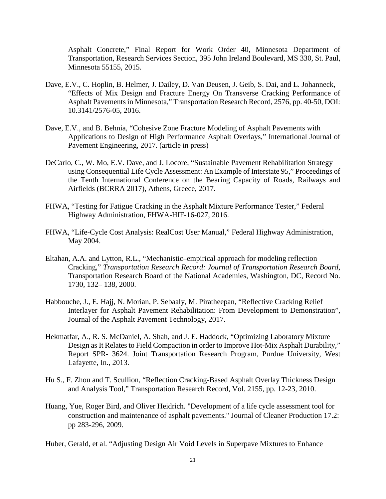Asphalt Concrete," Final Report for Work Order 40, Minnesota Department of Transportation, Research Services Section, 395 John Ireland Boulevard, MS 330, St. Paul, Minnesota 55155, 2015.

- Dave, E.V., C. Hoplin, B. Helmer, J. Dailey, D. Van Deusen, J. Geib, S. Dai, and L. Johanneck, "Effects of Mix Design and Fracture Energy On Transverse Cracking Performance of Asphalt Pavements in Minnesota," Transportation Research Record, 2576, pp. 40-50, DOI: 10.3141/2576-05, 2016.
- Dave, E.V., and B. Behnia, "Cohesive Zone Fracture Modeling of Asphalt Pavements with Applications to Design of High Performance Asphalt Overlays," International Journal of Pavement Engineering, 2017. (article in press)
- DeCarlo, C., W. Mo, E.V. Dave, and J. Locore, "Sustainable Pavement Rehabilitation Strategy using Consequential Life Cycle Assessment: An Example of Interstate 95," Proceedings of the Tenth International Conference on the Bearing Capacity of Roads, Railways and Airfields (BCRRA 2017), Athens, Greece, 2017.
- FHWA, "Testing for Fatigue Cracking in the Asphalt Mixture Performance Tester," Federal Highway Administration, FHWA-HIF-16-027, 2016.
- FHWA, "Life-Cycle Cost Analysis: RealCost User Manual," Federal Highway Administration, May 2004.
- Eltahan, A.A. and Lytton, R.L., "Mechanistic–empirical approach for modeling reflection Cracking," *Transportation Research Record: Journal of Transportation Research Board,* Transportation Research Board of the National Academies, Washington, DC, Record No. 1730, 132– 138, 2000.
- Habbouche, J., E. Hajj, N. Morian, P. Sebaaly, M. Piratheepan, "Reflective Cracking Relief Interlayer for Asphalt Pavement Rehabilitation: From Development to Demonstration", Journal of the Asphalt Pavement Technology, 2017.
- Hekmatfar, A., R. S. McDaniel, A. Shah, and J. E. Haddock, "Optimizing Laboratory Mixture Design as It Relates to Field Compaction in order to Improve Hot-Mix Asphalt Durability," Report SPR- 3624. Joint Transportation Research Program, Purdue University, West Lafayette, In., 2013.
- Hu S., F. Zhou and T. Scullion, "Reflection Cracking-Based Asphalt Overlay Thickness Design and Analysis Tool," Transportation Research Record, Vol. 2155, pp. 12-23, 2010.
- Huang, Yue, Roger Bird, and Oliver Heidrich. "Development of a life cycle assessment tool for construction and maintenance of asphalt pavements." Journal of Cleaner Production 17.2: pp 283-296, 2009.

Huber, Gerald, et al. "Adjusting Design Air Void Levels in Superpave Mixtures to Enhance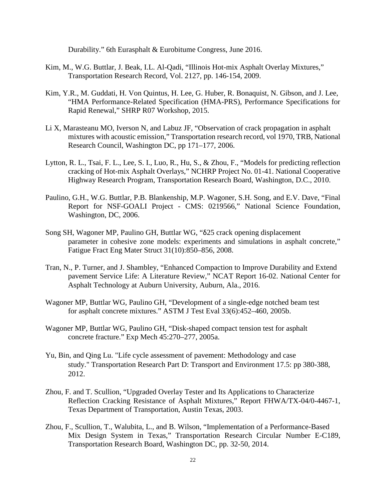Durability." 6th Eurasphalt & Eurobitume Congress, June 2016.

- Kim, M., W.G. Buttlar, J. Beak, I.L. Al-Qadi, "Illinois Hot-mix Asphalt Overlay Mixtures," Transportation Research Record, Vol. 2127, pp. 146-154, 2009.
- Kim, Y.R., M. Guddati, H. Von Quintus, H. Lee, G. Huber, R. Bonaquist, N. Gibson, and J. Lee, "HMA Performance-Related Specification (HMA-PRS), Performance Specifications for Rapid Renewal," SHRP R07 Workshop, 2015.
- Li X, Marasteanu MO, Iverson N, and Labuz JF, "Observation of crack propagation in asphalt mixtures with acoustic emission," Transportation research record, vol 1970, TRB, National Research Council, Washington DC, pp 171–177, 2006.
- Lytton, R. L., Tsai, F. L., Lee, S. I., Luo, R., Hu, S., & Zhou, F., "Models for predicting reflection cracking of Hot-mix Asphalt Overlays," NCHRP Project No. 01-41. National Cooperative Highway Research Program, Transportation Research Board, Washington, D.C., 2010.
- Paulino, G.H., W.G. Buttlar, P.B. Blankenship, M.P. Wagoner, S.H. Song, and E.V. Dave, "Final Report for NSF-GOALI Project - CMS: 0219566," National Science Foundation, Washington, DC, 2006.
- Song SH, Wagoner MP, Paulino GH, Buttlar WG, "δ25 crack opening displacement parameter in cohesive zone models: experiments and simulations in asphalt concrete," Fatigue Fract Eng Mater Struct 31(10):850–856, 2008.
- Tran, N., P. Turner, and J. Shambley, "Enhanced Compaction to Improve Durability and Extend pavement Service Life: A Literature Review," NCAT Report 16-02. National Center for Asphalt Technology at Auburn University, Auburn, Ala., 2016.
- Wagoner MP, Buttlar WG, Paulino GH, "Development of a single-edge notched beam test for asphalt concrete mixtures." ASTM J Test Eval 33(6):452–460, 2005b.
- Wagoner MP, Buttlar WG, Paulino GH, "Disk-shaped compact tension test for asphalt concrete fracture." Exp Mech 45:270–277, 2005a.
- Yu, Bin, and Qing Lu. "Life cycle assessment of pavement: Methodology and case study." Transportation Research Part D: Transport and Environment 17.5: pp 380-388, 2012.
- Zhou, F. and T. Scullion, "Upgraded Overlay Tester and Its Applications to Characterize Reflection Cracking Resistance of Asphalt Mixtures," Report FHWA/TX-04/0-4467-1, Texas Department of Transportation, Austin Texas, 2003.
- Zhou, F., Scullion, T., Walubita, L., and B. Wilson, "Implementation of a Performance-Based Mix Design System in Texas," Transportation Research Circular Number E-C189, Transportation Research Board, Washington DC, pp. 32-50, 2014.